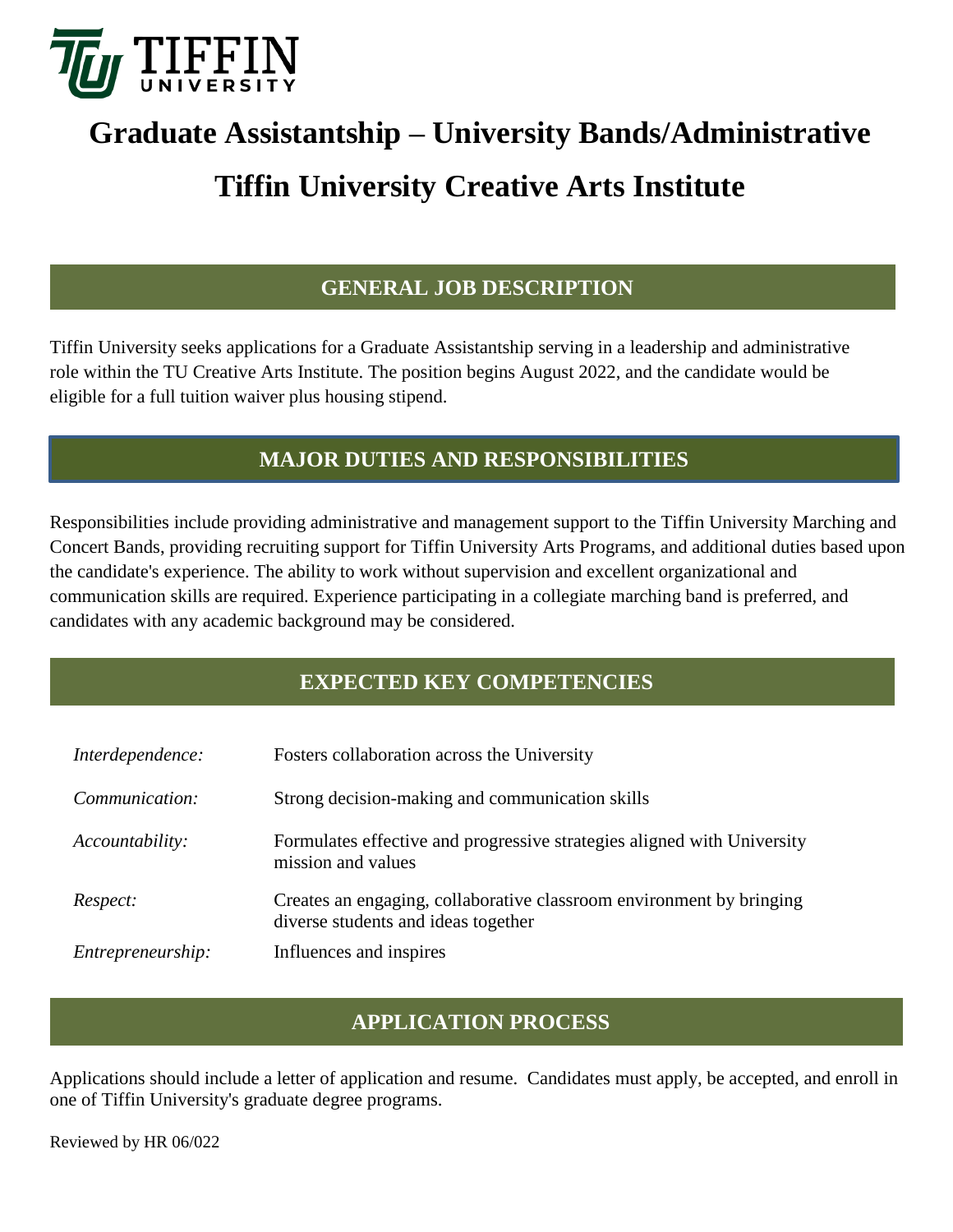

# **Graduate Assistantship – University Bands/Administrative Tiffin University Creative Arts Institute**

### **GENERAL JOB DESCRIPTION**

Tiffin University seeks applications for a Graduate Assistantship serving in a leadership and administrative role within the TU Creative Arts Institute. The position begins August 2022, and the candidate would be eligible for a full tuition waiver plus housing stipend.

#### **MAJOR DUTIES AND RESPONSIBILITIES**

Responsibilities include providing administrative and management support to the Tiffin University Marching and Concert Bands, providing recruiting support for Tiffin University Arts Programs, and additional duties based upon the candidate's experience. The ability to work without supervision and excellent organizational and communication skills are required. Experience participating in a collegiate marching band is preferred, and candidates with any academic background may be considered.

#### **EXPECTED KEY COMPETENCIES**

| Interdependence:  | Fosters collaboration across the University                                                                 |
|-------------------|-------------------------------------------------------------------------------------------------------------|
| Communication:    | Strong decision-making and communication skills                                                             |
| Accountability:   | Formulates effective and progressive strategies aligned with University<br>mission and values               |
| Respect:          | Creates an engaging, collaborative classroom environment by bringing<br>diverse students and ideas together |
| Entrepreneurship: | Influences and inspires                                                                                     |

## **APPLICATION PROCESS**

Applications should include a letter of application and resume. Candidates must apply, be accepted, and enroll in one of Tiffin University's graduate degree programs.

Reviewed by HR 06/022